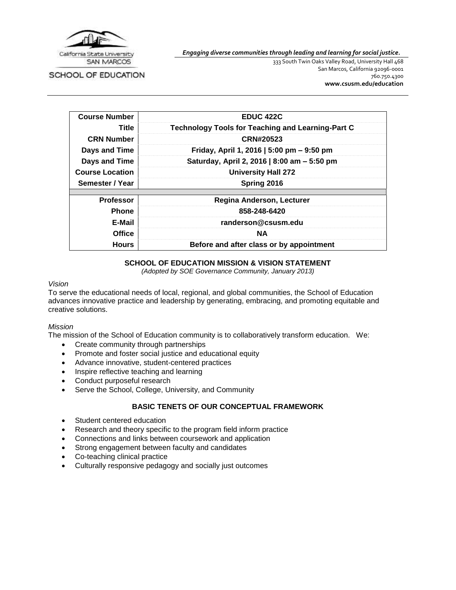

SCHOOL OF EDUCATION

*Engaging diverse communities through leading and learning for social justice.*

333 South Twin Oaks Valley Road, University Hall 468 San Marcos, California 92096-0001 760.750.4300 **[www.csusm.edu/education](http://www.csusm.edu/education)**

| <b>Course Number</b>   | <b>EDUC 422C</b>                                         |
|------------------------|----------------------------------------------------------|
| Title                  | <b>Technology Tools for Teaching and Learning-Part C</b> |
| <b>CRN Number</b>      | CRN#20523                                                |
| Days and Time          | Friday, April 1, 2016   5:00 pm - 9:50 pm                |
| Days and Time          | Saturday, April 2, 2016   8:00 am - 5:50 pm              |
| <b>Course Location</b> | <b>University Hall 272</b>                               |
| Semester / Year        | Spring 2016                                              |
|                        |                                                          |
| <b>Professor</b>       | <b>Regina Anderson, Lecturer</b>                         |
| <b>Phone</b>           | 858-248-6420                                             |
| E-Mail                 | randerson@csusm.edu                                      |
| <b>Office</b>          | <b>NA</b>                                                |
| <b>Hours</b>           | Before and after class or by appointment                 |

### **SCHOOL OF EDUCATION MISSION & VISION STATEMENT**

*(Adopted by SOE Governance Community, January 2013)*

#### *Vision*

To serve the educational needs of local, regional, and global communities, the School of Education advances innovative practice and leadership by generating, embracing, and promoting equitable and creative solutions.

#### *Mission*

The mission of the School of Education community is to collaboratively transform education. We:

- Create community through partnerships
- Promote and foster social justice and educational equity
- Advance innovative, student-centered practices
- Inspire reflective teaching and learning
- Conduct purposeful research
- Serve the School, College, University, and Community

### **BASIC TENETS OF OUR CONCEPTUAL FRAMEWORK**

- Student centered education
- Research and theory specific to the program field inform practice
- Connections and links between coursework and application
- Strong engagement between faculty and candidates
- Co-teaching clinical practice
- Culturally responsive pedagogy and socially just outcomes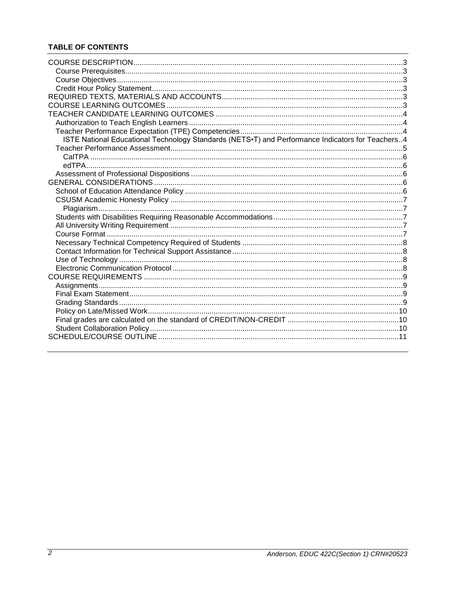# **TABLE OF CONTENTS**

| ISTE National Educational Technology Standards (NETS.T) and Performance Indicators for Teachers4 |  |
|--------------------------------------------------------------------------------------------------|--|
|                                                                                                  |  |
|                                                                                                  |  |
|                                                                                                  |  |
|                                                                                                  |  |
|                                                                                                  |  |
|                                                                                                  |  |
|                                                                                                  |  |
|                                                                                                  |  |
|                                                                                                  |  |
|                                                                                                  |  |
|                                                                                                  |  |
|                                                                                                  |  |
|                                                                                                  |  |
|                                                                                                  |  |
|                                                                                                  |  |
|                                                                                                  |  |
|                                                                                                  |  |
|                                                                                                  |  |
|                                                                                                  |  |
|                                                                                                  |  |
|                                                                                                  |  |
|                                                                                                  |  |
|                                                                                                  |  |
|                                                                                                  |  |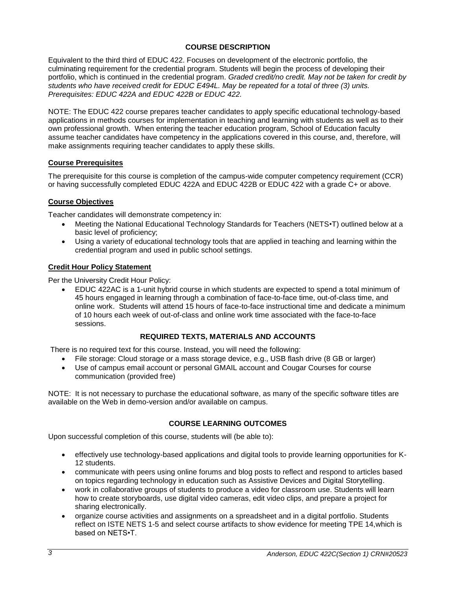### **COURSE DESCRIPTION**

<span id="page-2-0"></span>Equivalent to the third third of EDUC 422. Focuses on development of the electronic portfolio, the culminating requirement for the credential program. Students will begin the process of developing their portfolio, which is continued in the credential program. *Graded credit/no credit. May not be taken for credit by students who have received credit for EDUC E494L. May be repeated for a total of three (3) units. Prerequisites: EDUC 422A and EDUC 422B or EDUC 422.*

NOTE: The EDUC 422 course prepares teacher candidates to apply specific educational technology-based applications in methods courses for implementation in teaching and learning with students as well as to their own professional growth. When entering the teacher education program, School of Education faculty assume teacher candidates have competency in the applications covered in this course, and, therefore, will make assignments requiring teacher candidates to apply these skills.

### <span id="page-2-1"></span>**Course Prerequisites**

The prerequisite for this course is completion of the campus-wide computer competency requirement (CCR) or having successfully completed EDUC 422A and EDUC 422B or EDUC 422 with a grade C+ or above.

### <span id="page-2-2"></span>**Course Objectives**

Teacher candidates will demonstrate competency in:

- Meeting the National Educational Technology Standards for Teachers (NETS•T) outlined below at a basic level of proficiency;
- Using a variety of educational technology tools that are applied in teaching and learning within the credential program and used in public school settings.

### <span id="page-2-3"></span>**Credit Hour Policy Statement**

Per the University Credit Hour Policy:

 EDUC 422AC is a 1-unit hybrid course in which students are expected to spend a total minimum of 45 hours engaged in learning through a combination of face-to-face time, out-of-class time, and online work. Students will attend 15 hours of face-to-face instructional time and dedicate a minimum of 10 hours each week of out-of-class and online work time associated with the face-to-face sessions.

# **REQUIRED TEXTS, MATERIALS AND ACCOUNTS**

<span id="page-2-4"></span>There is no required text for this course. Instead, you will need the following:

- File storage: Cloud storage or a mass storage device, e.g., USB flash drive (8 GB or larger)
- Use of campus email account or personal GMAIL account and Cougar Courses for course communication (provided free)

NOTE: It is not necessary to purchase the educational software, as many of the specific software titles are available on the Web in demo-version and/or available on campus.

### **COURSE LEARNING OUTCOMES**

<span id="page-2-5"></span>Upon successful completion of this course, students will (be able to):

- effectively use technology-based applications and digital tools to provide learning opportunities for K-12 students.
- communicate with peers using online forums and blog posts to reflect and respond to articles based on topics regarding technology in education such as Assistive Devices and Digital Storytelling.
- work in collaborative groups of students to produce a video for classroom use. Students will learn how to create storyboards, use digital video cameras, edit video clips, and prepare a project for sharing electronically.
- organize course activities and assignments on a spreadsheet and in a digital portfolio. Students reflect on ISTE NETS 1-5 and select course artifacts to show evidence for meeting TPE 14,which is based on NETS•T.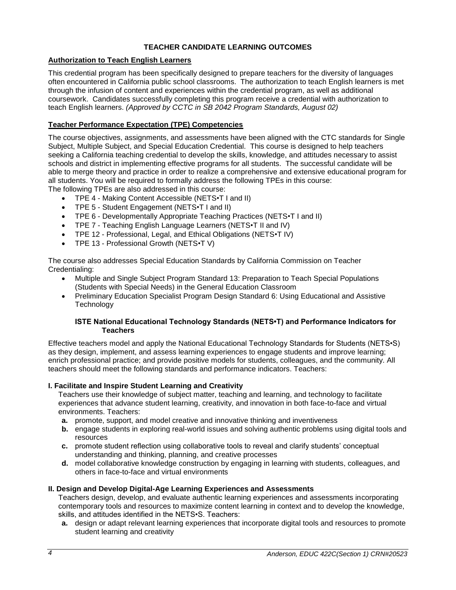# **TEACHER CANDIDATE LEARNING OUTCOMES**

## <span id="page-3-1"></span><span id="page-3-0"></span>**Authorization to Teach English Learners**

This credential program has been specifically designed to prepare teachers for the diversity of languages often encountered in California public school classrooms. The authorization to teach English learners is met through the infusion of content and experiences within the credential program, as well as additional coursework. Candidates successfully completing this program receive a credential with authorization to teach English learners. *(Approved by CCTC in SB 2042 Program Standards, August 02)*

# <span id="page-3-2"></span>**Teacher Performance Expectation (TPE) Competencies**

The course objectives, assignments, and assessments have been aligned with the CTC standards for Single Subject, Multiple Subject, and Special Education Credential. This course is designed to help teachers seeking a California teaching credential to develop the skills, knowledge, and attitudes necessary to assist schools and district in implementing effective programs for all students. The successful candidate will be able to merge theory and practice in order to realize a comprehensive and extensive educational program for all students. You will be required to formally address the following TPEs in this course:

The following TPEs are also addressed in this course:

- TPE 4 Making Content Accessible (NETS•T I and II)
- TPE 5 Student Engagement (NETS•T I and II)
- TPE 6 Developmentally Appropriate Teaching Practices (NETS•T I and II)
- TPE 7 Teaching English Language Learners (NETS•T II and IV)
- TPE 12 Professional, Legal, and Ethical Obligations (NETS•T IV)
- TPE 13 Professional Growth (NETS•T V)

The course also addresses Special Education Standards by California Commission on Teacher Credentialing:

- Multiple and Single Subject Program Standard 13: Preparation to Teach Special Populations (Students with Special Needs) in the General Education Classroom
- Preliminary Education Specialist Program Design Standard 6: Using Educational and Assistive **Technology**

### **ISTE National Educational Technology Standards (NETS•T) and Performance Indicators for Teachers**

<span id="page-3-3"></span>Effective teachers model and apply the National Educational Technology Standards for Students (NETS•S) as they design, implement, and assess learning experiences to engage students and improve learning; enrich professional practice; and provide positive models for students, colleagues, and the community. All teachers should meet the following standards and performance indicators. Teachers:

### **I. Facilitate and Inspire Student Learning and Creativity**

Teachers use their knowledge of subject matter, teaching and learning, and technology to facilitate experiences that advance student learning, creativity, and innovation in both face-to-face and virtual environments. Teachers:

- **a.** promote, support, and model creative and innovative thinking and inventiveness
- **b.** engage students in exploring real-world issues and solving authentic problems using digital tools and resources
- **c.** promote student reflection using collaborative tools to reveal and clarify students' conceptual understanding and thinking, planning, and creative processes
- **d.** model collaborative knowledge construction by engaging in learning with students, colleagues, and others in face-to-face and virtual environments

### **II. Design and Develop Digital-Age Learning Experiences and Assessments**

Teachers design, develop, and evaluate authentic learning experiences and assessments incorporating contemporary tools and resources to maximize content learning in context and to develop the knowledge, skills, and attitudes identified in the NETS•S. Teachers:

**a.** design or adapt relevant learning experiences that incorporate digital tools and resources to promote student learning and creativity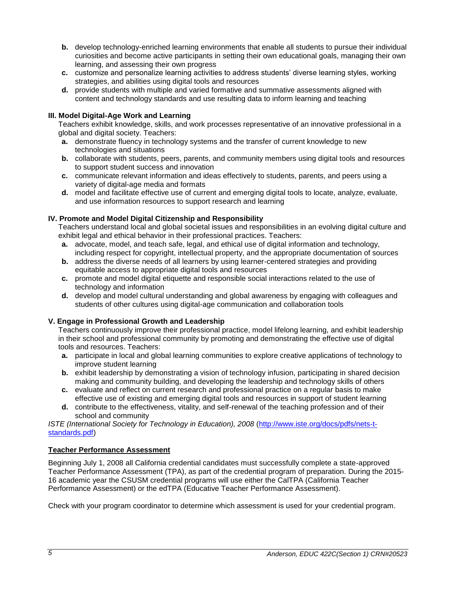- **b.** develop technology-enriched learning environments that enable all students to pursue their individual curiosities and become active participants in setting their own educational goals, managing their own learning, and assessing their own progress
- **c.** customize and personalize learning activities to address students' diverse learning styles, working strategies, and abilities using digital tools and resources
- **d.** provide students with multiple and varied formative and summative assessments aligned with content and technology standards and use resulting data to inform learning and teaching

### **III. Model Digital-Age Work and Learning**

Teachers exhibit knowledge, skills, and work processes representative of an innovative professional in a global and digital society. Teachers:

- **a.** demonstrate fluency in technology systems and the transfer of current knowledge to new technologies and situations
- **b.** collaborate with students, peers, parents, and community members using digital tools and resources to support student success and innovation
- **c.** communicate relevant information and ideas effectively to students, parents, and peers using a variety of digital-age media and formats
- **d.** model and facilitate effective use of current and emerging digital tools to locate, analyze, evaluate, and use information resources to support research and learning

### **IV. Promote and Model Digital Citizenship and Responsibility**

Teachers understand local and global societal issues and responsibilities in an evolving digital culture and exhibit legal and ethical behavior in their professional practices. Teachers:

- **a.** advocate, model, and teach safe, legal, and ethical use of digital information and technology, including respect for copyright, intellectual property, and the appropriate documentation of sources
- **b.** address the diverse needs of all learners by using learner-centered strategies and providing equitable access to appropriate digital tools and resources
- **c.** promote and model digital etiquette and responsible social interactions related to the use of technology and information
- **d.** develop and model cultural understanding and global awareness by engaging with colleagues and students of other cultures using digital-age communication and collaboration tools

### **V. Engage in Professional Growth and Leadership**

Teachers continuously improve their professional practice, model lifelong learning, and exhibit leadership in their school and professional community by promoting and demonstrating the effective use of digital tools and resources. Teachers:

- **a.** participate in local and global learning communities to explore creative applications of technology to improve student learning
- **b.** exhibit leadership by demonstrating a vision of technology infusion, participating in shared decision making and community building, and developing the leadership and technology skills of others
- **c.** evaluate and reflect on current research and professional practice on a regular basis to make effective use of existing and emerging digital tools and resources in support of student learning
- **d.** contribute to the effectiveness, vitality, and self-renewal of the teaching profession and of their school and community

*ISTE (International Society for Technology in Education), 2008* [\(http://www.iste.org/docs/pdfs/nets-t](http://www.iste.org/docs/pdfs/nets-t-standards.pdf)[standards.pdf\)](http://www.iste.org/docs/pdfs/nets-t-standards.pdf)

### <span id="page-4-0"></span>**Teacher Performance Assessment**

Beginning July 1, 2008 all California credential candidates must successfully complete a state-approved Teacher Performance Assessment (TPA), as part of the credential program of preparation. During the 2015- 16 academic year the CSUSM credential programs will use either the CalTPA (California Teacher Performance Assessment) or the edTPA (Educative Teacher Performance Assessment).

<span id="page-4-1"></span>Check with your program coordinator to determine which assessment is used for your credential program.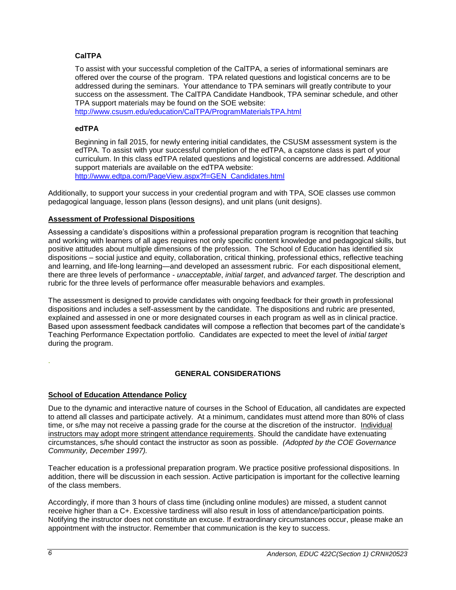# **CalTPA**

To assist with your successful completion of the CalTPA, a series of informational seminars are offered over the course of the program. TPA related questions and logistical concerns are to be addressed during the seminars. Your attendance to TPA seminars will greatly contribute to your success on the assessment. The CalTPA Candidate Handbook, TPA seminar schedule, and other TPA support materials may be found on the SOE website:

<http://www.csusm.edu/education/CalTPA/ProgramMaterialsTPA.html>

### <span id="page-5-0"></span>**edTPA**

Beginning in fall 2015, for newly entering initial candidates, the CSUSM assessment system is the edTPA. To assist with your successful completion of the edTPA, a capstone class is part of your curriculum. In this class edTPA related questions and logistical concerns are addressed. Additional support materials are available on the edTPA website: [http://www.edtpa.com/PageView.aspx?f=GEN\\_Candidates.html](http://www.edtpa.com/PageView.aspx?f=GEN_Candidates.html)

Additionally, to support your success in your credential program and with TPA, SOE classes use common pedagogical language, lesson plans (lesson designs), and unit plans (unit designs).

### <span id="page-5-1"></span>**Assessment of Professional Dispositions**

Assessing a candidate's dispositions within a professional preparation program is recognition that teaching and working with learners of all ages requires not only specific content knowledge and pedagogical skills, but positive attitudes about multiple dimensions of the profession. The School of Education has identified six dispositions – social justice and equity, collaboration, critical thinking, professional ethics, reflective teaching and learning, and life-long learning—and developed an assessment rubric. For each dispositional element, there are three levels of performance - *unacceptable*, *initial target*, and *advanced target*. The description and rubric for the three levels of performance offer measurable behaviors and examples.

The assessment is designed to provide candidates with ongoing feedback for their growth in professional dispositions and includes a self-assessment by the candidate. The dispositions and rubric are presented, explained and assessed in one or more designated courses in each program as well as in clinical practice. Based upon assessment feedback candidates will compose a reflection that becomes part of the candidate's Teaching Performance Expectation portfolio. Candidates are expected to meet the level of *initial target* during the program.

### **GENERAL CONSIDERATIONS**

### <span id="page-5-3"></span>**School of Education Attendance Policy**

Due to the dynamic and interactive nature of courses in the School of Education, all candidates are expected to attend all classes and participate actively. At a minimum, candidates must attend more than 80% of class time, or s/he may not receive a passing grade for the course at the discretion of the instructor. Individual instructors may adopt more stringent attendance requirements. Should the candidate have extenuating circumstances, s/he should contact the instructor as soon as possible. *(Adopted by the COE Governance Community, December 1997).*

Teacher education is a professional preparation program. We practice positive professional dispositions. In addition, there will be discussion in each session. Active participation is important for the collective learning of the class members.

Accordingly, if more than 3 hours of class time (including online modules) are missed, a student cannot receive higher than a C+. Excessive tardiness will also result in loss of attendance/participation points. Notifying the instructor does not constitute an excuse. If extraordinary circumstances occur, please make an appointment with the instructor. Remember that communication is the key to success.

<span id="page-5-2"></span>.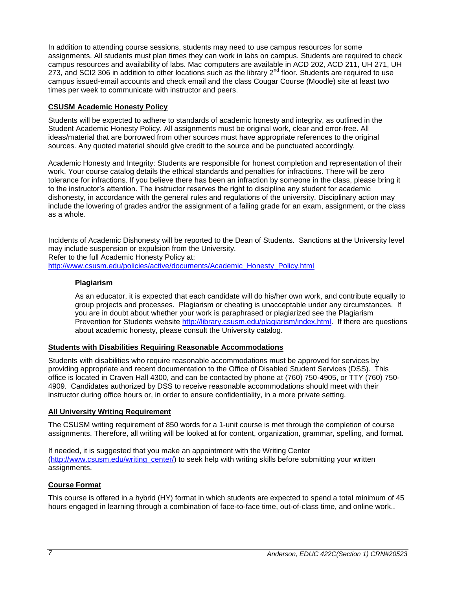In addition to attending course sessions, students may need to use campus resources for some assignments. All students must plan times they can work in labs on campus. Students are required to check campus resources and availability of labs. Mac computers are available in ACD 202, ACD 211, UH 271, UH 273, and SCI2 306 in addition to other locations such as the library  $2<sup>nd</sup>$  floor. Students are required to use campus issued-email accounts and check email and the class Cougar Course (Moodle) site at least two times per week to communicate with instructor and peers.

## <span id="page-6-0"></span>**CSUSM Academic Honesty Policy**

Students will be expected to adhere to standards of academic honesty and integrity, as outlined in the Student Academic Honesty Policy. All assignments must be original work, clear and error-free. All ideas/material that are borrowed from other sources must have appropriate references to the original sources. Any quoted material should give credit to the source and be punctuated accordingly.

Academic Honesty and Integrity: Students are responsible for honest completion and representation of their work. Your course catalog details the ethical standards and penalties for infractions. There will be zero tolerance for infractions. If you believe there has been an infraction by someone in the class, please bring it to the instructor's attention. The instructor reserves the right to discipline any student for academic dishonesty, in accordance with the general rules and regulations of the university. Disciplinary action may include the lowering of grades and/or the assignment of a failing grade for an exam, assignment, or the class as a whole.

Incidents of Academic Dishonesty will be reported to the Dean of Students. Sanctions at the University level may include suspension or expulsion from the University. Refer to the full Academic Honesty Policy at:

<span id="page-6-1"></span>[http://www.csusm.edu/policies/active/documents/Academic\\_Honesty\\_Policy.html](http://www.csusm.edu/policies/active/documents/Academic_Honesty_Policy.html)

### **Plagiarism**

As an educator, it is expected that each candidate will do his/her own work, and contribute equally to group projects and processes. Plagiarism or cheating is unacceptable under any circumstances. If you are in doubt about whether your work is paraphrased or plagiarized see the Plagiarism Prevention for Students website [http://library.csusm.edu/plagiarism/index.html.](http://library.csusm.edu/plagiarism/index.html) If there are questions about academic honesty, please consult the University catalog.

### <span id="page-6-2"></span>**Students with Disabilities Requiring Reasonable Accommodations**

Students with disabilities who require reasonable accommodations must be approved for services by providing appropriate and recent documentation to the Office of Disabled Student Services (DSS). This office is located in Craven Hall 4300, and can be contacted by phone at (760) 750-4905, or TTY (760) 750- 4909. Candidates authorized by DSS to receive reasonable accommodations should meet with their instructor during office hours or, in order to ensure confidentiality, in a more private setting.

### <span id="page-6-3"></span>**All University Writing Requirement**

The CSUSM writing requirement of 850 words for a 1-unit course is met through the completion of course assignments. Therefore, all writing will be looked at for content, organization, grammar, spelling, and format.

If needed, it is suggested that you make an appointment with the Writing Center [\(http://www.csusm.edu/writing\\_center/\)](http://www.csusm.edu/writing_center/) to seek help with writing skills before submitting your written assignments.

### <span id="page-6-4"></span>**Course Format**

This course is offered in a hybrid (HY) format in which students are expected to spend a total minimum of 45 hours engaged in learning through a combination of face-to-face time, out-of-class time, and online work..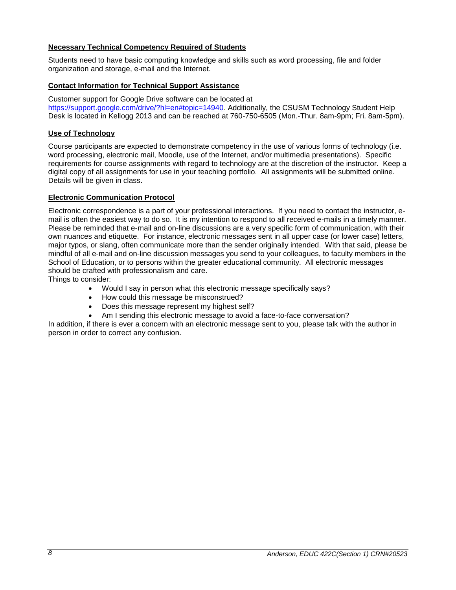# <span id="page-7-0"></span>**Necessary Technical Competency Required of Students**

Students need to have basic computing knowledge and skills such as word processing, file and folder organization and storage, e-mail and the Internet.

#### <span id="page-7-1"></span>**Contact Information for Technical Support Assistance**

Customer support for Google Drive software can be located at

[https://support.google.com/drive/?hl=en#topic=14940.](https://support.google.com/drive/?hl=en#topic=14940) Additionally, the CSUSM Technology Student Help Desk is located in Kellogg 2013 and can be reached at 760-750-6505 (Mon.-Thur. 8am-9pm; Fri. 8am-5pm).

#### <span id="page-7-2"></span>**Use of Technology**

Course participants are expected to demonstrate competency in the use of various forms of technology (i.e. word processing, electronic mail, Moodle, use of the Internet, and/or multimedia presentations). Specific requirements for course assignments with regard to technology are at the discretion of the instructor. Keep a digital copy of all assignments for use in your teaching portfolio. All assignments will be submitted online. Details will be given in class.

#### <span id="page-7-3"></span>**Electronic Communication Protocol**

Electronic correspondence is a part of your professional interactions. If you need to contact the instructor, email is often the easiest way to do so. It is my intention to respond to all received e-mails in a timely manner. Please be reminded that e-mail and on-line discussions are a very specific form of communication, with their own nuances and etiquette. For instance, electronic messages sent in all upper case (or lower case) letters, major typos, or slang, often communicate more than the sender originally intended. With that said, please be mindful of all e-mail and on-line discussion messages you send to your colleagues, to faculty members in the School of Education, or to persons within the greater educational community. All electronic messages should be crafted with professionalism and care.

Things to consider:

- Would I say in person what this electronic message specifically says?
- How could this message be misconstrued?
- Does this message represent my highest self?
- Am I sending this electronic message to avoid a face-to-face conversation?

In addition, if there is ever a concern with an electronic message sent to you, please talk with the author in person in order to correct any confusion.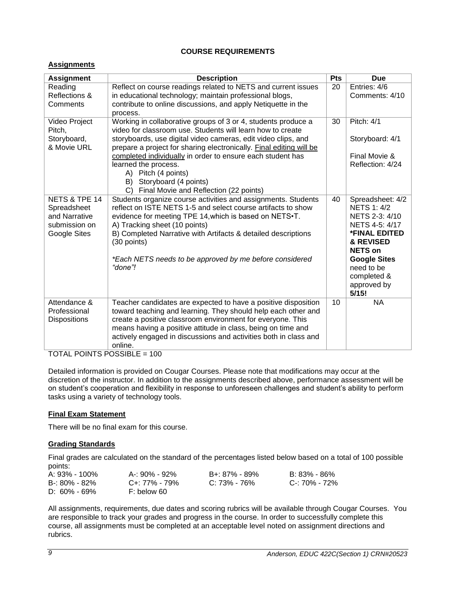### **COURSE REQUIREMENTS**

### <span id="page-8-1"></span><span id="page-8-0"></span>**Assignments**

| <b>Assignment</b>                                                              | <b>Description</b>                                                                                                                                                                                                                                                                                                                                                                                                                                              | Pts | <b>Due</b>                                                                                                                                                                                             |
|--------------------------------------------------------------------------------|-----------------------------------------------------------------------------------------------------------------------------------------------------------------------------------------------------------------------------------------------------------------------------------------------------------------------------------------------------------------------------------------------------------------------------------------------------------------|-----|--------------------------------------------------------------------------------------------------------------------------------------------------------------------------------------------------------|
| Reading<br>Reflections &<br>Comments                                           | Reflect on course readings related to NETS and current issues<br>in educational technology; maintain professional blogs,<br>contribute to online discussions, and apply Netiquette in the<br>process.                                                                                                                                                                                                                                                           | 20  | Entries: 4/6<br>Comments: 4/10                                                                                                                                                                         |
| Video Project<br>Pitch,<br>Storyboard,<br>& Movie URL                          | Working in collaborative groups of 3 or 4, students produce a<br>video for classroom use. Students will learn how to create<br>storyboards, use digital video cameras, edit video clips, and<br>prepare a project for sharing electronically. Final editing will be<br>completed individually in order to ensure each student has<br>learned the process.<br>Pitch (4 points)<br>A)<br>B) Storyboard (4 points)<br>Final Movie and Reflection (22 points)<br>C) | 30  | Pitch: 4/1<br>Storyboard: 4/1<br>Final Movie &<br>Reflection: 4/24                                                                                                                                     |
| NETS & TPE 14<br>Spreadsheet<br>and Narrative<br>submission on<br>Google Sites | Students organize course activities and assignments. Students<br>reflect on ISTE NETS 1-5 and select course artifacts to show<br>evidence for meeting TPE 14, which is based on NETS.T.<br>A) Tracking sheet (10 points)<br>B) Completed Narrative with Artifacts & detailed descriptions<br>(30 points)<br>*Each NETS needs to be approved by me before considered<br>"done"!                                                                                  | 40  | Spreadsheet: 4/2<br><b>NETS 1: 4/2</b><br>NETS 2-3: 4/10<br>NETS 4-5: 4/17<br>*FINAL EDITED<br>& REVISED<br><b>NETS on</b><br><b>Google Sites</b><br>need to be<br>completed &<br>approved by<br>5/15! |
| Attendance &<br>Professional<br>Dispositions                                   | Teacher candidates are expected to have a positive disposition<br>toward teaching and learning. They should help each other and<br>create a positive classroom environment for everyone. This<br>means having a positive attitude in class, being on time and<br>actively engaged in discussions and activities both in class and<br>online.                                                                                                                    | 10  | <b>NA</b>                                                                                                                                                                                              |

TOTAL POINTS POSSIBLE = 100

Detailed information is provided on Cougar Courses. Please note that modifications may occur at the discretion of the instructor. In addition to the assignments described above, performance assessment will be on student's cooperation and flexibility in response to unforeseen challenges and student's ability to perform tasks using a variety of technology tools.

### <span id="page-8-2"></span>**Final Exam Statement**

There will be no final exam for this course.

### <span id="page-8-3"></span>**Grading Standards**

Final grades are calculated on the standard of the percentages listed below based on a total of 100 possible points:

| A: 93% - 100%    | A-: 90% - 92% | B+: 87% - 89%    | B: 83% - 86%  |
|------------------|---------------|------------------|---------------|
| B-: 80% - 82%    | C+: 77% - 79% | $C: 73\% - 76\%$ | C-: 70% - 72% |
| $D: 60\% - 69\%$ | F: below 60   |                  |               |

All assignments, requirements, due dates and scoring rubrics will be available through Cougar Courses. You are responsible to track your grades and progress in the course. In order to successfully complete this course, all assignments must be completed at an acceptable level noted on assignment directions and rubrics.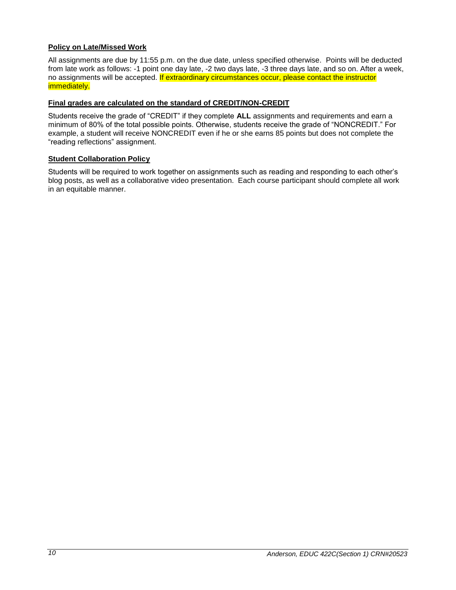# <span id="page-9-0"></span>**Policy on Late/Missed Work**

All assignments are due by 11:55 p.m. on the due date, unless specified otherwise. Points will be deducted from late work as follows: -1 point one day late, -2 two days late, -3 three days late, and so on. After a week, no assignments will be accepted. If extraordinary circumstances occur, please contact the instructor immediately.

#### <span id="page-9-1"></span>**Final grades are calculated on the standard of CREDIT/NON-CREDIT**

Students receive the grade of "CREDIT" if they complete **ALL** assignments and requirements and earn a minimum of 80% of the total possible points. Otherwise, students receive the grade of "NONCREDIT." For example, a student will receive NONCREDIT even if he or she earns 85 points but does not complete the "reading reflections" assignment.

#### <span id="page-9-2"></span>**Student Collaboration Policy**

Students will be required to work together on assignments such as reading and responding to each other's blog posts, as well as a collaborative video presentation. Each course participant should complete all work in an equitable manner.